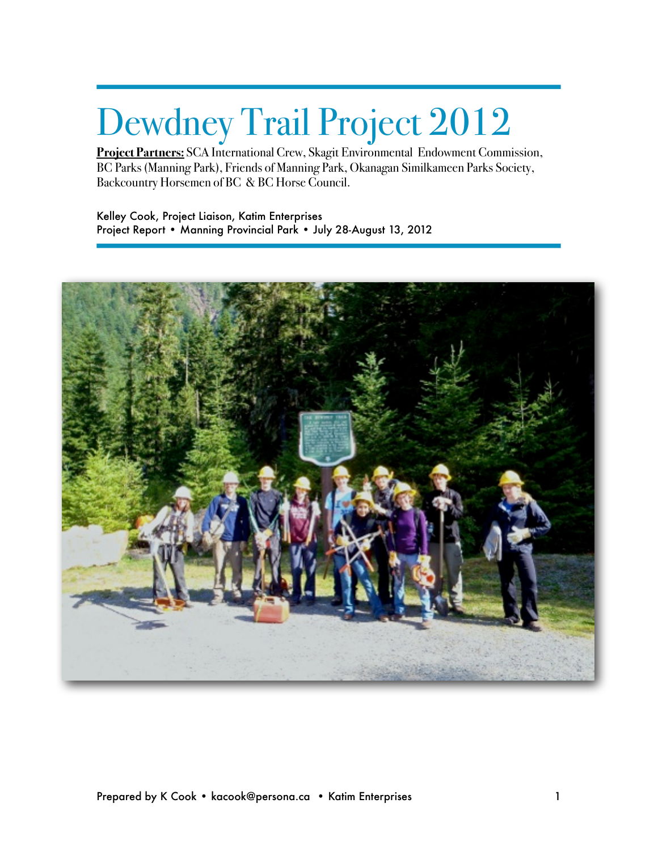# Dewdney Trail Project 2012

**Project Partners:** SCA International Crew, Skagit Environmental Endowment Commission, BC Parks (Manning Park), Friends of Manning Park, Okanagan Similkameen Parks Society, Backcountry Horsemen of BC & BC Horse Council.

Kelley Cook, Project Liaison, Katim Enterprises Project Report • Manning Provincial Park • July 28-August 13, 2012

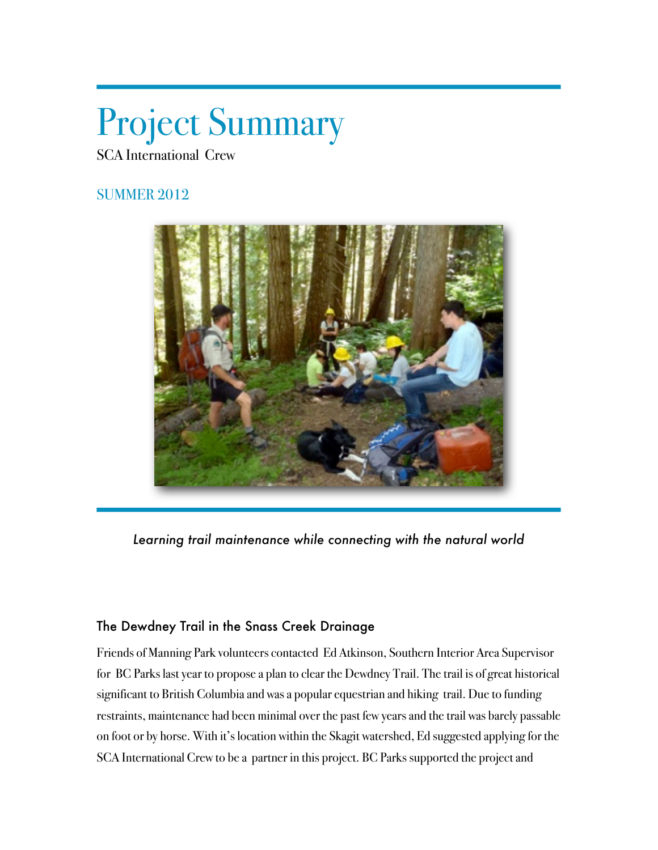# Project Summary

SCA International Crew

## SUMMER 2012



*Learning trail maintenance while connecting with the natural world*

### The Dewdney Trail in the Snass Creek Drainage

Friends of Manning Park volunteers contacted Ed Atkinson, Southern Interior Area Supervisor for BC Parks last year to propose a plan to clear the Dewdney Trail. The trail is of great historical significant to British Columbia and was a popular equestrian and hiking trail. Due to funding restraints, maintenance had been minimal over the past few years and the trail was barely passable on foot or by horse. With it's location within the Skagit watershed, Ed suggested applying for the SCA International Crew to be a partner in this project. BC Parks supported the project and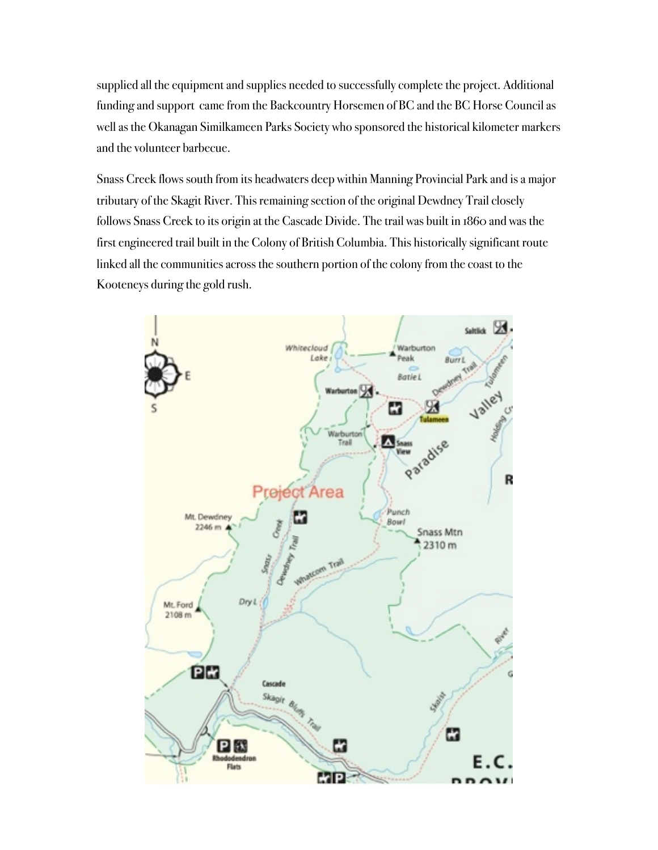supplied all the equipment and supplies needed to successfully complete the project. Additional funding and support came from the Backcountry Horsemen of BC and the BC Horse Council as well as the Okanagan Similkameen Parks Society who sponsored the historical kilometer markers and the volunteer barbecue.

Snass Creek flows south from its headwaters deep within Manning Provincial Park and is a major tributary of the Skagit River. This remaining section of the original Dewdney Trail closely follows Snass Creek to its origin at the Cascade Divide. The trail was built in 1860 and was the first engineered trail built in the Colony of British Columbia. This historically significant route linked all the communities across the southern portion of the colony from the coast to the Kooteneys during the gold rush.

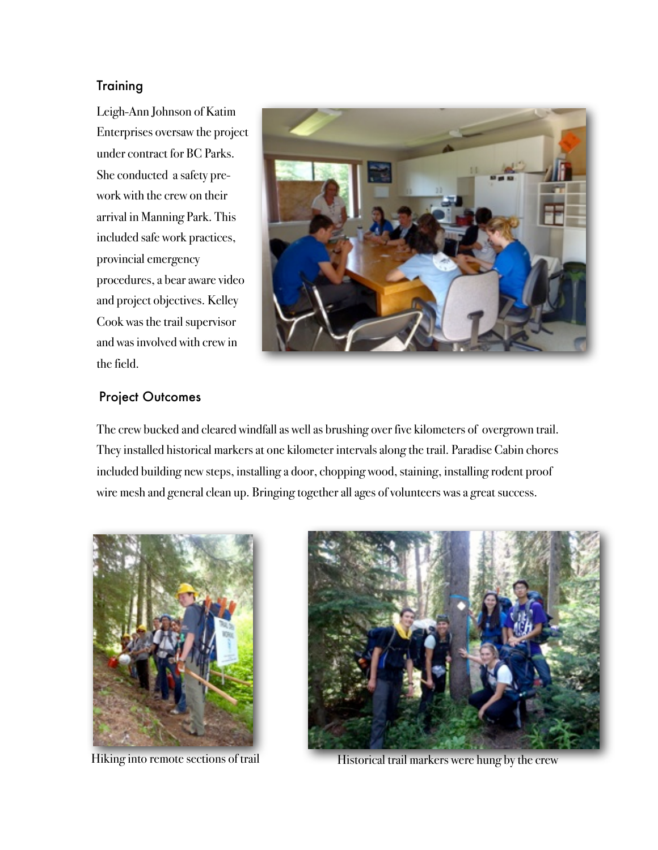#### **Training**

Leigh-Ann Johnson of Katim Enterprises oversaw the project under contract for BC Parks. She conducted a safety prework with the crew on their arrival in Manning Park. This included safe work practices, provincial emergency procedures, a bear aware video and project objectives. Kelley Cook was the trail supervisor and was involved with crew in the field.



#### Project Outcomes

The crew bucked and cleared windfall as well as brushing over five kilometers of overgrown trail. They installed historical markers at one kilometer intervals along the trail. Paradise Cabin chores included building new steps, installing a door, chopping wood, staining, installing rodent proof wire mesh and general clean up. Bringing together all ages of volunteers was a great success.





Hiking into remote sections of trail Historical trail markers were hung by the crew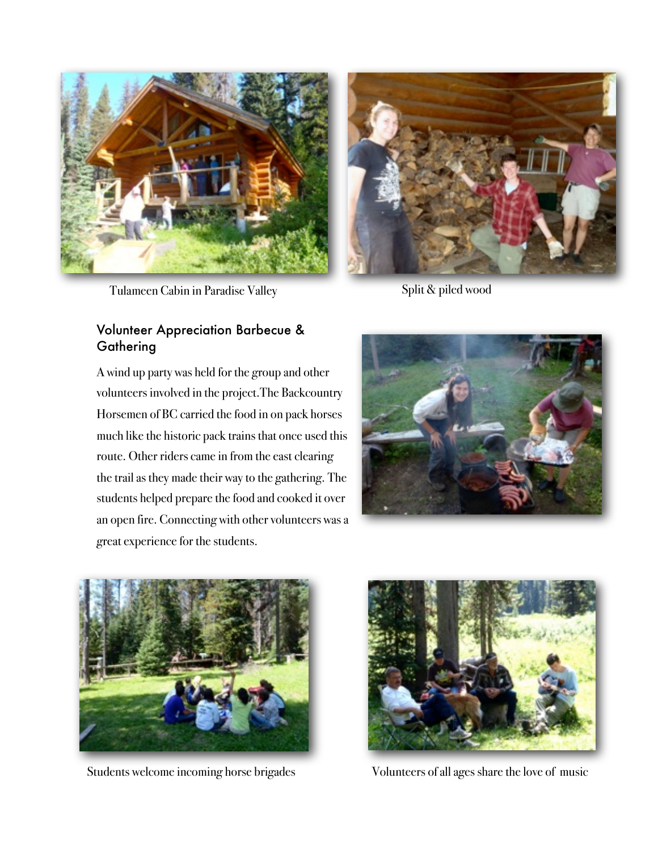

Tulameen Cabin in Paradise Valley Split & piled wood

#### Volunteer Appreciation Barbecue & **Gathering**

A wind up party was held for the group and other volunteers involved in the project.The Backcountry Horsemen of BC carried the food in on pack horses much like the historic pack trains that once used this route. Other riders came in from the east clearing the trail as they made their way to the gathering. The students helped prepare the food and cooked it over an open fire. Connecting with other volunteers was a great experience for the students.









Students welcome incoming horse brigades Volunteers of all ages share the love of music